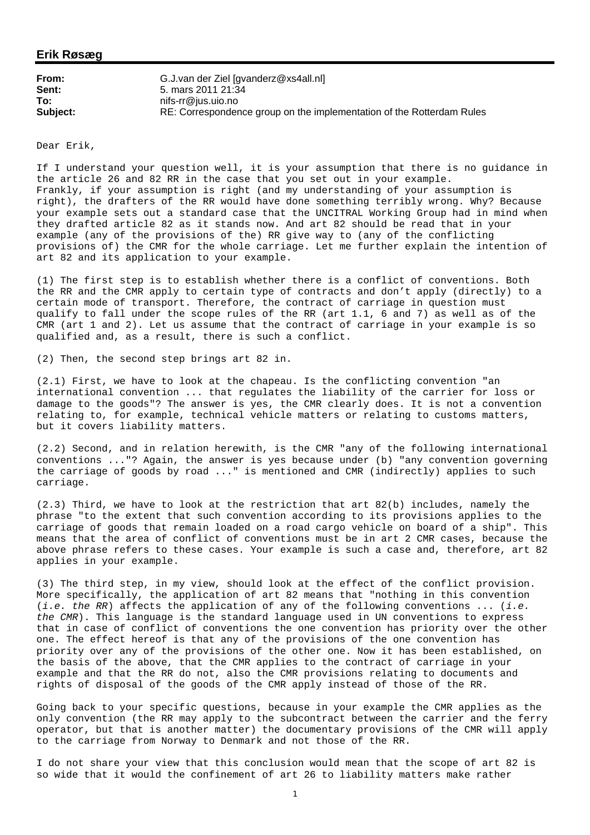## **Erik Røsæg**

| From:    | G.J.van der Ziel [gvanderz@xs4all.nl]                                 |
|----------|-----------------------------------------------------------------------|
| Sent:    | 5. mars 2011 21:34                                                    |
| To:      | nifs-rr@ius.uio.no                                                    |
| Subject: | RE: Correspondence group on the implementation of the Rotterdam Rules |

Dear Erik,

If I understand your question well, it is your assumption that there is no guidance in the article 26 and 82 RR in the case that you set out in your example. Frankly, if your assumption is right (and my understanding of your assumption is right), the drafters of the RR would have done something terribly wrong. Why? Because your example sets out a standard case that the UNCITRAL Working Group had in mind when they drafted article 82 as it stands now. And art 82 should be read that in your example (any of the provisions of the) RR give way to (any of the conflicting provisions of) the CMR for the whole carriage. Let me further explain the intention of art 82 and its application to your example.

(1) The first step is to establish whether there is a conflict of conventions. Both the RR and the CMR apply to certain type of contracts and don't apply (directly) to a certain mode of transport. Therefore, the contract of carriage in question must qualify to fall under the scope rules of the RR (art 1.1, 6 and 7) as well as of the CMR (art 1 and 2). Let us assume that the contract of carriage in your example is so qualified and, as a result, there is such a conflict.

(2) Then, the second step brings art 82 in.

(2.1) First, we have to look at the chapeau. Is the conflicting convention "an international convention ... that regulates the liability of the carrier for loss or damage to the goods"? The answer is yes, the CMR clearly does. It is not a convention relating to, for example, technical vehicle matters or relating to customs matters, but it covers liability matters.

(2.2) Second, and in relation herewith, is the CMR "any of the following international conventions ..."? Again, the answer is yes because under (b) "any convention governing the carriage of goods by road ..." is mentioned and CMR (indirectly) applies to such carriage.

(2.3) Third, we have to look at the restriction that art 82(b) includes, namely the phrase "to the extent that such convention according to its provisions applies to the carriage of goods that remain loaded on a road cargo vehicle on board of a ship". This means that the area of conflict of conventions must be in art 2 CMR cases, because the above phrase refers to these cases. Your example is such a case and, therefore, art 82 applies in your example.

(3) The third step, in my view, should look at the effect of the conflict provision. More specifically, the application of art 82 means that "nothing in this convention (*i.e. the RR*) affects the application of any of the following conventions ... (*i.e. the CMR*). This language is the standard language used in UN conventions to express that in case of conflict of conventions the one convention has priority over the other one. The effect hereof is that any of the provisions of the one convention has priority over any of the provisions of the other one. Now it has been established, on the basis of the above, that the CMR applies to the contract of carriage in your example and that the RR do not, also the CMR provisions relating to documents and rights of disposal of the goods of the CMR apply instead of those of the RR.

Going back to your specific questions, because in your example the CMR applies as the only convention (the RR may apply to the subcontract between the carrier and the ferry operator, but that is another matter) the documentary provisions of the CMR will apply to the carriage from Norway to Denmark and not those of the RR.

I do not share your view that this conclusion would mean that the scope of art 82 is so wide that it would the confinement of art 26 to liability matters make rather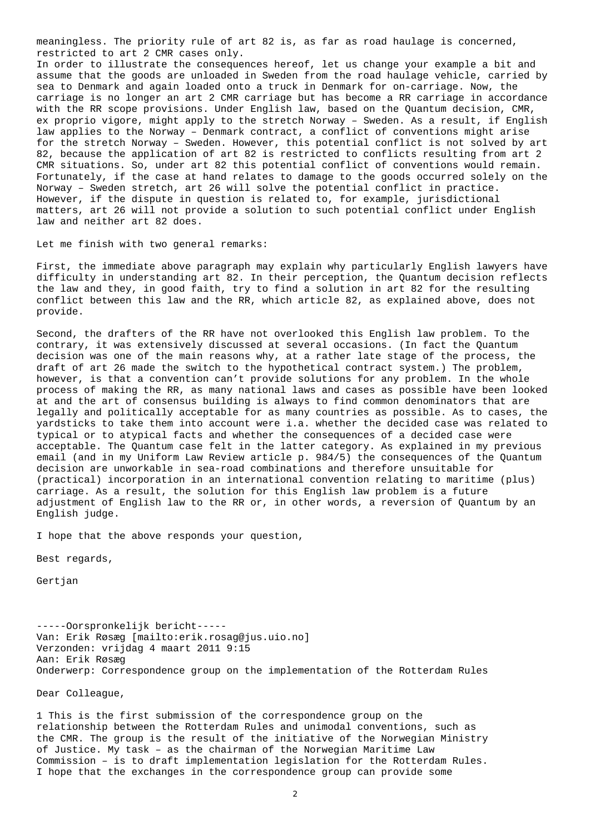meaningless. The priority rule of art 82 is, as far as road haulage is concerned, restricted to art 2 CMR cases only.

In order to illustrate the consequences hereof, let us change your example a bit and assume that the goods are unloaded in Sweden from the road haulage vehicle, carried by sea to Denmark and again loaded onto a truck in Denmark for on-carriage. Now, the carriage is no longer an art 2 CMR carriage but has become a RR carriage in accordance with the RR scope provisions. Under English law, based on the Quantum decision, CMR, ex proprio vigore, might apply to the stretch Norway – Sweden. As a result, if English law applies to the Norway – Denmark contract, a conflict of conventions might arise for the stretch Norway – Sweden. However, this potential conflict is not solved by art 82, because the application of art 82 is restricted to conflicts resulting from art 2 CMR situations. So, under art 82 this potential conflict of conventions would remain. Fortunately, if the case at hand relates to damage to the goods occurred solely on the Norway – Sweden stretch, art 26 will solve the potential conflict in practice. However, if the dispute in question is related to, for example, jurisdictional matters, art 26 will not provide a solution to such potential conflict under English law and neither art 82 does.

Let me finish with two general remarks:

First, the immediate above paragraph may explain why particularly English lawyers have difficulty in understanding art 82. In their perception, the Quantum decision reflects the law and they, in good faith, try to find a solution in art 82 for the resulting conflict between this law and the RR, which article 82, as explained above, does not provide.

Second, the drafters of the RR have not overlooked this English law problem. To the contrary, it was extensively discussed at several occasions. (In fact the Quantum decision was one of the main reasons why, at a rather late stage of the process, the draft of art 26 made the switch to the hypothetical contract system.) The problem, however, is that a convention can't provide solutions for any problem. In the whole process of making the RR, as many national laws and cases as possible have been looked at and the art of consensus building is always to find common denominators that are legally and politically acceptable for as many countries as possible. As to cases, the yardsticks to take them into account were i.a. whether the decided case was related to typical or to atypical facts and whether the consequences of a decided case were acceptable. The Quantum case felt in the latter category. As explained in my previous email (and in my Uniform Law Review article p. 984/5) the consequences of the Quantum decision are unworkable in sea-road combinations and therefore unsuitable for (practical) incorporation in an international convention relating to maritime (plus) carriage. As a result, the solution for this English law problem is a future adjustment of English law to the RR or, in other words, a reversion of Quantum by an English judge.

I hope that the above responds your question,

Best regards,

Gertjan

-----Oorspronkelijk bericht----- Van: Erik Røsæg [mailto:erik.rosag@jus.uio.no] Verzonden: vrijdag 4 maart 2011 9:15 Aan: Erik Røsæg Onderwerp: Correspondence group on the implementation of the Rotterdam Rules

Dear Colleague,

1 This is the first submission of the correspondence group on the relationship between the Rotterdam Rules and unimodal conventions, such as the CMR. The group is the result of the initiative of the Norwegian Ministry of Justice. My task – as the chairman of the Norwegian Maritime Law Commission – is to draft implementation legislation for the Rotterdam Rules. I hope that the exchanges in the correspondence group can provide some